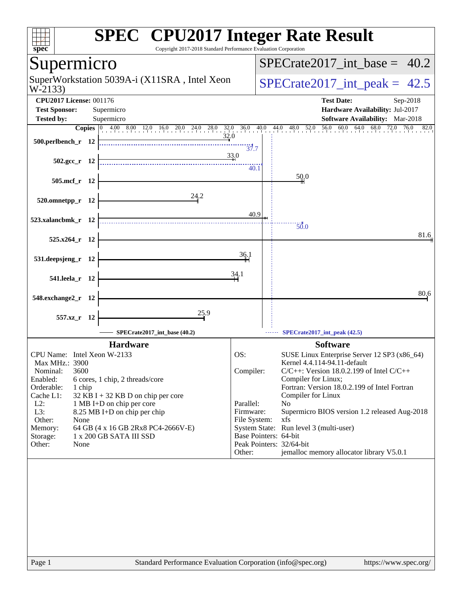| spec <sup>®</sup>                  | <b>SPEC<sup>®</sup></b> CPU2017 Integer Rate Result<br>Copyright 2017-2018 Standard Performance Evaluation Corporation                                                               |                           |                                                                               |  |  |  |  |  |  |
|------------------------------------|--------------------------------------------------------------------------------------------------------------------------------------------------------------------------------------|---------------------------|-------------------------------------------------------------------------------|--|--|--|--|--|--|
| Supermicro                         |                                                                                                                                                                                      |                           | $SPECrate2017$ int base =<br>40.2                                             |  |  |  |  |  |  |
| W-2133)                            | SuperWorkstation 5039A-i (X11SRA, Intel Xeon                                                                                                                                         |                           | $SPECTate2017\_int\_peak = 42.5$                                              |  |  |  |  |  |  |
| <b>CPU2017 License: 001176</b>     |                                                                                                                                                                                      |                           | <b>Test Date:</b><br>Sep-2018                                                 |  |  |  |  |  |  |
| <b>Test Sponsor:</b>               | Supermicro                                                                                                                                                                           |                           | Hardware Availability: Jul-2017                                               |  |  |  |  |  |  |
| <b>Tested by:</b>                  | Supermicro<br><b>Copies</b> $\begin{bmatrix} 0 & 4.00 & 8.00 & 12.0 & 16.0 & 20.0 & 24.0 & 28.0 & 32.0 & 36.0 & 40.0 & 44.0 & 48.0 & 52.0 & 56.0 & 60.0 & 64.0 & 68.0 \end{bmatrix}$ |                           | Software Availability: Mar-2018<br>$\frac{72.0}{1}$<br>76.0<br>82.0           |  |  |  |  |  |  |
| $500.$ perlbench r 12              | 32.0                                                                                                                                                                                 | 37.7                      |                                                                               |  |  |  |  |  |  |
| $502.\text{gcc}_r$ 12              |                                                                                                                                                                                      | 33.0                      |                                                                               |  |  |  |  |  |  |
| 505.mcf_r 12                       |                                                                                                                                                                                      | 40.1                      | 50,0                                                                          |  |  |  |  |  |  |
| 520.omnetpp_r 12                   | 24.2                                                                                                                                                                                 |                           |                                                                               |  |  |  |  |  |  |
| 523.xalancbmk_r 12                 |                                                                                                                                                                                      | 40.9                      |                                                                               |  |  |  |  |  |  |
| 525.x264 r 12                      |                                                                                                                                                                                      |                           | $\overline{50.0}$<br>81.6                                                     |  |  |  |  |  |  |
| 531.deepsjeng_r 12                 |                                                                                                                                                                                      | 36.1                      |                                                                               |  |  |  |  |  |  |
| 541.leela_r 12                     |                                                                                                                                                                                      | 34.1                      |                                                                               |  |  |  |  |  |  |
| 548.exchange2_r 12                 |                                                                                                                                                                                      |                           | 80.6                                                                          |  |  |  |  |  |  |
| 557.xz_r 12                        | 25.9                                                                                                                                                                                 |                           |                                                                               |  |  |  |  |  |  |
|                                    | SPECrate2017 int base $(40.2)$                                                                                                                                                       |                           | SPECrate2017_int_peak (42.5)                                                  |  |  |  |  |  |  |
|                                    | <b>Hardware</b>                                                                                                                                                                      |                           | <b>Software</b>                                                               |  |  |  |  |  |  |
| CPU Name: Intel Xeon W-2133        |                                                                                                                                                                                      | OS:                       | SUSE Linux Enterprise Server 12 SP3 (x86_64)                                  |  |  |  |  |  |  |
| Max MHz.: 3900<br>Nominal:<br>3600 |                                                                                                                                                                                      | Compiler:                 | Kernel 4.4.114-94.11-default<br>$C/C++$ : Version 18.0.2.199 of Intel $C/C++$ |  |  |  |  |  |  |
| Enabled:                           | 6 cores, 1 chip, 2 threads/core                                                                                                                                                      |                           | Compiler for Linux;                                                           |  |  |  |  |  |  |
| Orderable:<br>1 chip<br>Cache L1:  | $32$ KB I + 32 KB D on chip per core                                                                                                                                                 |                           | Fortran: Version 18.0.2.199 of Intel Fortran<br>Compiler for Linux            |  |  |  |  |  |  |
| $L2$ :                             | 1 MB I+D on chip per core                                                                                                                                                            | Parallel:                 | N <sub>0</sub>                                                                |  |  |  |  |  |  |
| L3:<br>Other:<br>None              | 8.25 MB I+D on chip per chip                                                                                                                                                         | Firmware:<br>File System: | Supermicro BIOS version 1.2 released Aug-2018<br>xfs                          |  |  |  |  |  |  |
| Memory:                            | 64 GB (4 x 16 GB 2Rx8 PC4-2666V-E)                                                                                                                                                   |                           | System State: Run level 3 (multi-user)                                        |  |  |  |  |  |  |
| Storage:<br>Other:<br>None         | 1 x 200 GB SATA III SSD                                                                                                                                                              |                           | Base Pointers: 64-bit<br>Peak Pointers: 32/64-bit                             |  |  |  |  |  |  |
|                                    |                                                                                                                                                                                      | Other:                    | jemalloc memory allocator library V5.0.1                                      |  |  |  |  |  |  |
|                                    |                                                                                                                                                                                      |                           |                                                                               |  |  |  |  |  |  |
|                                    |                                                                                                                                                                                      |                           |                                                                               |  |  |  |  |  |  |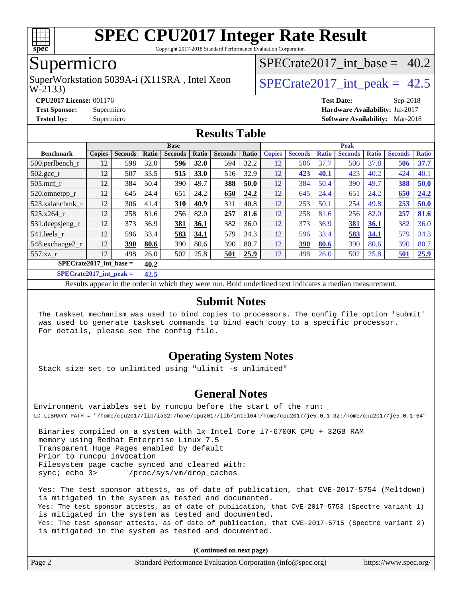

Copyright 2017-2018 Standard Performance Evaluation Corporation

## Supermicro

W-2133) SuperWorkstation 5039A-i (X11SRA, Intel Xeon  $\vert$  SPECrate2017 int peak = 42.5

SPECrate2017 int\_base =  $40.2$ 

**[CPU2017 License:](http://www.spec.org/auto/cpu2017/Docs/result-fields.html#CPU2017License)** 001176 **[Test Date:](http://www.spec.org/auto/cpu2017/Docs/result-fields.html#TestDate)** Sep-2018

**[Test Sponsor:](http://www.spec.org/auto/cpu2017/Docs/result-fields.html#TestSponsor)** Supermicro **[Hardware Availability:](http://www.spec.org/auto/cpu2017/Docs/result-fields.html#HardwareAvailability)** Jul-2017 **[Tested by:](http://www.spec.org/auto/cpu2017/Docs/result-fields.html#Testedby)** Supermicro **[Software Availability:](http://www.spec.org/auto/cpu2017/Docs/result-fields.html#SoftwareAvailability)** Mar-2018

#### **[Results Table](http://www.spec.org/auto/cpu2017/Docs/result-fields.html#ResultsTable)**

|                              | <b>Base</b>   |                |        |                |       |                |       | <b>Peak</b>   |                |              |                |              |                |              |
|------------------------------|---------------|----------------|--------|----------------|-------|----------------|-------|---------------|----------------|--------------|----------------|--------------|----------------|--------------|
| <b>Benchmark</b>             | <b>Copies</b> | <b>Seconds</b> | Ratio  | <b>Seconds</b> | Ratio | <b>Seconds</b> | Ratio | <b>Copies</b> | <b>Seconds</b> | <b>Ratio</b> | <b>Seconds</b> | <b>Ratio</b> | <b>Seconds</b> | <b>Ratio</b> |
| 500.perlbench_r              | 12            | 598            | 32.0   | 596            | 32.0  | 594            | 32.2  | 12            | 506            | 37.7         | 506            | 37.8         | 506            | 37.7         |
| $502.\text{gcc\_r}$          | 12            | 507            | 33.5   | 515            | 33.0  | 516            | 32.9  | 12            | 423            | 40.1         | 423            | 40.2         | 424            | 40.1         |
| $505$ .mcf r                 | 12            | 384            | 50.4   | 390            | 49.7  | 388            | 50.0  | 12            | 384            | 50.4         | 390            | 49.7         | 388            | 50.0         |
| 520.omnetpp_r                | 12            | 645            | 24.4   | 651            | 24.2  | 650            | 24.2  | 12            | 645            | 24.4         | 651            | 24.2         | 650            | 24.2         |
| 523.xalancbmk r              | 12            | 306            | 41.4   | 310            | 40.9  | 311            | 40.8  | 12            | 253            | 50.1         | 254            | 49.8         | 253            | 50.0         |
| 525.x264 r                   | 12            | 258            | 81.6   | 256            | 82.0  | 257            | 81.6  | 12            | 258            | 81.6         | 256            | 82.0         | 257            | 81.6         |
| 531.deepsjeng_r              | 12            | 373            | 36.9   | 381            | 36.1  | 382            | 36.0  | 12            | 373            | 36.9         | 381            | 36.1         | 382            | 36.0         |
| 541.leela r                  | 12            | 596            | 33.4   | 583            | 34.1  | 579            | 34.3  | 12            | 596            | 33.4         | 583            | 34.1         | 579            | 34.3         |
| 548.exchange2_r              | 12            | 390            | 80.6   | 390            | 80.6  | 390            | 80.7  | 12            | 390            | 80.6         | 390            | 80.6         | 390            | 80.7         |
| 557.xz                       | 12            | 498            | 26.0   | 502            | 25.8  | 501            | 25.9  | 12            | 498            | 26.0         | 502            | 25.8         | 501            | 25.9         |
| $SPECrate2017$ int base =    |               |                | 40.2   |                |       |                |       |               |                |              |                |              |                |              |
| $CDDLO \rightarrow A04E + I$ |               |                | $\sim$ |                |       |                |       |               |                |              |                |              |                |              |

**[SPECrate2017\\_int\\_peak =](http://www.spec.org/auto/cpu2017/Docs/result-fields.html#SPECrate2017intpeak) 42.5**

Results appear in the [order in which they were run](http://www.spec.org/auto/cpu2017/Docs/result-fields.html#RunOrder). Bold underlined text [indicates a median measurement](http://www.spec.org/auto/cpu2017/Docs/result-fields.html#Median).

#### **[Submit Notes](http://www.spec.org/auto/cpu2017/Docs/result-fields.html#SubmitNotes)**

 The taskset mechanism was used to bind copies to processors. The config file option 'submit' was used to generate taskset commands to bind each copy to a specific processor. For details, please see the config file.

#### **[Operating System Notes](http://www.spec.org/auto/cpu2017/Docs/result-fields.html#OperatingSystemNotes)**

Stack size set to unlimited using "ulimit -s unlimited"

#### **[General Notes](http://www.spec.org/auto/cpu2017/Docs/result-fields.html#GeneralNotes)**

Environment variables set by runcpu before the start of the run: LD\_LIBRARY\_PATH = "/home/cpu2017/lib/ia32:/home/cpu2017/lib/intel64:/home/cpu2017/je5.0.1-32:/home/cpu2017/je5.0.1-64"

 Binaries compiled on a system with 1x Intel Core i7-6700K CPU + 32GB RAM memory using Redhat Enterprise Linux 7.5 Transparent Huge Pages enabled by default Prior to runcpu invocation Filesystem page cache synced and cleared with: sync; echo 3> /proc/sys/vm/drop\_caches

 Yes: The test sponsor attests, as of date of publication, that CVE-2017-5754 (Meltdown) is mitigated in the system as tested and documented. Yes: The test sponsor attests, as of date of publication, that CVE-2017-5753 (Spectre variant 1) is mitigated in the system as tested and documented. Yes: The test sponsor attests, as of date of publication, that CVE-2017-5715 (Spectre variant 2) is mitigated in the system as tested and documented.

**(Continued on next page)**

| Page 2<br>Standard Performance Evaluation Corporation (info@spec.org)<br>https://www.spec.org/ |
|------------------------------------------------------------------------------------------------|
|------------------------------------------------------------------------------------------------|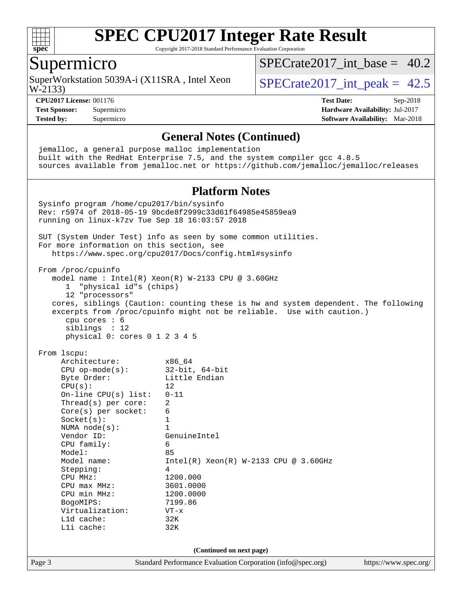

Copyright 2017-2018 Standard Performance Evaluation Corporation

### Supermicro

SuperWorkstation 5039A-i (X11SRA, Intel Xeon  $\vert$  SPECrate2017 int peak = 42.5

SPECrate2017 int\_base =  $40.2$ 

W-2133)

**[CPU2017 License:](http://www.spec.org/auto/cpu2017/Docs/result-fields.html#CPU2017License)** 001176 **[Test Date:](http://www.spec.org/auto/cpu2017/Docs/result-fields.html#TestDate)** Sep-2018

**[Test Sponsor:](http://www.spec.org/auto/cpu2017/Docs/result-fields.html#TestSponsor)** Supermicro **[Hardware Availability:](http://www.spec.org/auto/cpu2017/Docs/result-fields.html#HardwareAvailability)** Jul-2017 **[Tested by:](http://www.spec.org/auto/cpu2017/Docs/result-fields.html#Testedby)** Supermicro **[Software Availability:](http://www.spec.org/auto/cpu2017/Docs/result-fields.html#SoftwareAvailability)** Mar-2018

Page 3 Standard Performance Evaluation Corporation [\(info@spec.org\)](mailto:info@spec.org) <https://www.spec.org/> **[General Notes \(Continued\)](http://www.spec.org/auto/cpu2017/Docs/result-fields.html#GeneralNotes)** jemalloc, a general purpose malloc implementation built with the RedHat Enterprise 7.5, and the system compiler gcc 4.8.5 sources available from jemalloc.net or <https://github.com/jemalloc/jemalloc/releases> **[Platform Notes](http://www.spec.org/auto/cpu2017/Docs/result-fields.html#PlatformNotes)** Sysinfo program /home/cpu2017/bin/sysinfo Rev: r5974 of 2018-05-19 9bcde8f2999c33d61f64985e45859ea9 running on linux-k7zv Tue Sep 18 16:03:57 2018 SUT (System Under Test) info as seen by some common utilities. For more information on this section, see <https://www.spec.org/cpu2017/Docs/config.html#sysinfo> From /proc/cpuinfo model name : Intel(R) Xeon(R) W-2133 CPU @ 3.60GHz 1 "physical id"s (chips) 12 "processors" cores, siblings (Caution: counting these is hw and system dependent. The following excerpts from /proc/cpuinfo might not be reliable. Use with caution.) cpu cores : 6 siblings : 12 physical 0: cores 0 1 2 3 4 5 From lscpu: Architecture: x86\_64 CPU op-mode(s): 32-bit, 64-bit Byte Order: Little Endian  $CPU(s):$  12 On-line CPU(s) list: 0-11 Thread(s) per core: 2 Core(s) per socket: 6 Socket(s): 1 NUMA node(s): 1<br>Vendor ID: Ge GenuineIntel CPU family: 6 Model: 85 Model name: Intel(R) Xeon(R) W-2133 CPU @ 3.60GHz Stepping: 4 CPU MHz: 1200.000<br>
CPU max MHz: 3601.0000  $CPU$   $max$   $MHz$ : CPU min MHz: 1200.0000 BogoMIPS: 7199.86 Virtualization: VT-x L1d cache: 32K L1i cache: 32K **(Continued on next page)**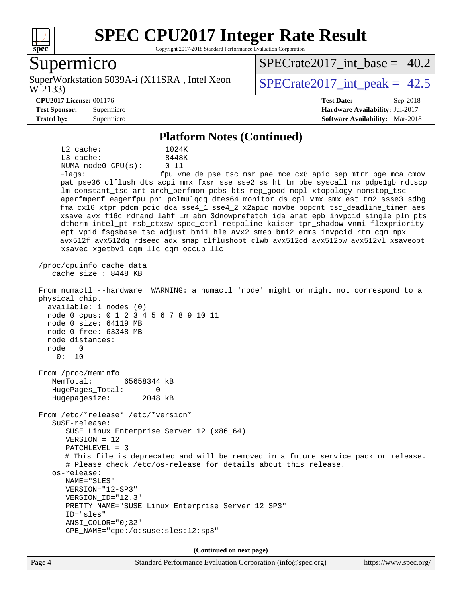

Copyright 2017-2018 Standard Performance Evaluation Corporation

### Supermicro

W-2133) SuperWorkstation 5039A-i (X11SRA, Intel Xeon  $\vert$  SPECrate2017 int peak = 42.5

[SPECrate2017\\_int\\_base =](http://www.spec.org/auto/cpu2017/Docs/result-fields.html#SPECrate2017intbase) 40.2

#### **[CPU2017 License:](http://www.spec.org/auto/cpu2017/Docs/result-fields.html#CPU2017License)** 001176 **[Test Date:](http://www.spec.org/auto/cpu2017/Docs/result-fields.html#TestDate)** Sep-2018

**[Test Sponsor:](http://www.spec.org/auto/cpu2017/Docs/result-fields.html#TestSponsor)** Supermicro **[Hardware Availability:](http://www.spec.org/auto/cpu2017/Docs/result-fields.html#HardwareAvailability)** Jul-2017 **[Tested by:](http://www.spec.org/auto/cpu2017/Docs/result-fields.html#Testedby)** Supermicro **[Software Availability:](http://www.spec.org/auto/cpu2017/Docs/result-fields.html#SoftwareAvailability)** Mar-2018

#### **[Platform Notes \(Continued\)](http://www.spec.org/auto/cpu2017/Docs/result-fields.html#PlatformNotes)**

 L2 cache: 1024K L3 cache: 8448K NUMA node0 CPU(s): 0-11 Flags: fpu vme de pse tsc msr pae mce cx8 apic sep mtrr pge mca cmov pat pse36 clflush dts acpi mmx fxsr sse sse2 ss ht tm pbe syscall nx pdpe1gb rdtscp lm constant\_tsc art arch\_perfmon pebs bts rep\_good nopl xtopology nonstop\_tsc aperfmperf eagerfpu pni pclmulqdq dtes64 monitor ds\_cpl vmx smx est tm2 ssse3 sdbg fma cx16 xtpr pdcm pcid dca sse4\_1 sse4\_2 x2apic movbe popcnt tsc\_deadline\_timer aes xsave avx f16c rdrand lahf\_lm abm 3dnowprefetch ida arat epb invpcid\_single pln pts dtherm intel\_pt rsb\_ctxsw spec\_ctrl retpoline kaiser tpr\_shadow vnmi flexpriority ept vpid fsgsbase tsc\_adjust bmi1 hle avx2 smep bmi2 erms invpcid rtm cqm mpx avx512f avx512dq rdseed adx smap clflushopt clwb avx512cd avx512bw avx512vl xsaveopt xsavec xgetbv1 cqm\_llc cqm\_occup\_llc /proc/cpuinfo cache data cache size : 8448 KB From numactl --hardware WARNING: a numactl 'node' might or might not correspond to a physical chip. available: 1 nodes (0) node 0 cpus: 0 1 2 3 4 5 6 7 8 9 10 11 node 0 size: 64119 MB node 0 free: 63348 MB node distances: node 0 0: 10 From /proc/meminfo MemTotal: 65658344 kB HugePages\_Total: 0 Hugepagesize: 2048 kB From /etc/\*release\* /etc/\*version\* SuSE-release: SUSE Linux Enterprise Server 12 (x86\_64) VERSION = 12 PATCHLEVEL = 3 # This file is deprecated and will be removed in a future service pack or release. # Please check /etc/os-release for details about this release. os-release: NAME="SLES" VERSION="12-SP3" VERSION\_ID="12.3" PRETTY\_NAME="SUSE Linux Enterprise Server 12 SP3" ID="sles" ANSI\_COLOR="0;32" CPE\_NAME="cpe:/o:suse:sles:12:sp3" **(Continued on next page)**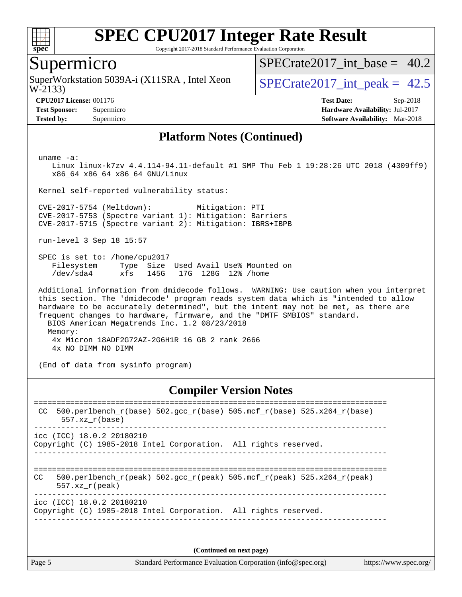

Copyright 2017-2018 Standard Performance Evaluation Corporation

## Supermicro

W-2133) SuperWorkstation 5039A-i (X11SRA, Intel Xeon  $\vert$  SPECrate2017 int peak = 42.5

SPECrate2017 int\_base =  $40.2$ 

**[Tested by:](http://www.spec.org/auto/cpu2017/Docs/result-fields.html#Testedby)** Supermicro **[Software Availability:](http://www.spec.org/auto/cpu2017/Docs/result-fields.html#SoftwareAvailability)** Mar-2018

**[CPU2017 License:](http://www.spec.org/auto/cpu2017/Docs/result-fields.html#CPU2017License)** 001176 **[Test Date:](http://www.spec.org/auto/cpu2017/Docs/result-fields.html#TestDate)** Sep-2018 **[Test Sponsor:](http://www.spec.org/auto/cpu2017/Docs/result-fields.html#TestSponsor)** Supermicro **[Hardware Availability:](http://www.spec.org/auto/cpu2017/Docs/result-fields.html#HardwareAvailability)** Jul-2017

#### **[Platform Notes \(Continued\)](http://www.spec.org/auto/cpu2017/Docs/result-fields.html#PlatformNotes)**

uname -a:

 Linux linux-k7zv 4.4.114-94.11-default #1 SMP Thu Feb 1 19:28:26 UTC 2018 (4309ff9) x86\_64 x86\_64 x86\_64 GNU/Linux

Kernel self-reported vulnerability status:

 CVE-2017-5754 (Meltdown): Mitigation: PTI CVE-2017-5753 (Spectre variant 1): Mitigation: Barriers CVE-2017-5715 (Spectre variant 2): Mitigation: IBRS+IBPB

run-level 3 Sep 18 15:57

 SPEC is set to: /home/cpu2017 Filesystem Type Size Used Avail Use% Mounted on /dev/sda4 xfs 145G 17G 128G 12% /home

 Additional information from dmidecode follows. WARNING: Use caution when you interpret this section. The 'dmidecode' program reads system data which is "intended to allow hardware to be accurately determined", but the intent may not be met, as there are frequent changes to hardware, firmware, and the "DMTF SMBIOS" standard. BIOS American Megatrends Inc. 1.2 08/23/2018 Memory: 4x Micron 18ADF2G72AZ-2G6H1R 16 GB 2 rank 2666 4x NO DIMM NO DIMM

(End of data from sysinfo program)

#### **[Compiler Version Notes](http://www.spec.org/auto/cpu2017/Docs/result-fields.html#CompilerVersionNotes)**

============================================================================== CC 500.perlbench\_r(base)  $502.\text{gcc}_r(\text{base})$  505.mcf\_r(base) 525.x264\_r(base) 557.xz\_r(base) ----------------------------------------------------------------------------- icc (ICC) 18.0.2 20180210 Copyright (C) 1985-2018 Intel Corporation. All rights reserved. ------------------------------------------------------------------------------ ============================================================================== CC 500.perlbench r(peak) 502.gcc r(peak) 505.mcf r(peak) 525.x264 r(peak) 557.xz\_r(peak) ----------------------------------------------------------------------------- icc (ICC) 18.0.2 20180210 Copyright (C) 1985-2018 Intel Corporation. All rights reserved. ------------------------------------------------------------------------------

**(Continued on next page)**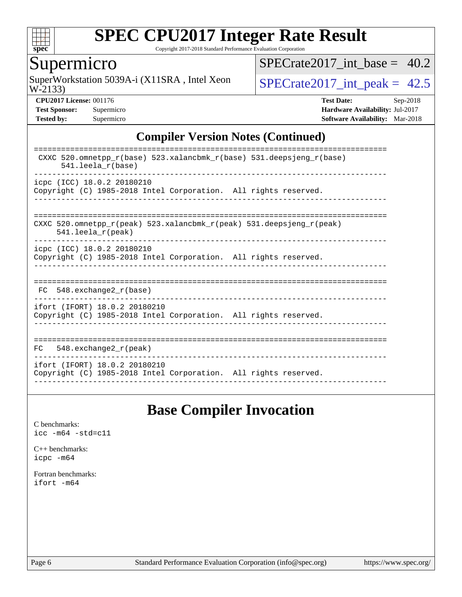

Copyright 2017-2018 Standard Performance Evaluation Corporation

## Supermicro

W-2133) SuperWorkstation 5039A-i (X11SRA, Intel Xeon  $SPECrate2017\_int\_peak = 42.5$ 

SPECrate2017 int\_base =  $40.2$ 

**[CPU2017 License:](http://www.spec.org/auto/cpu2017/Docs/result-fields.html#CPU2017License)** 001176 **[Test Date:](http://www.spec.org/auto/cpu2017/Docs/result-fields.html#TestDate)** Sep-2018 **[Test Sponsor:](http://www.spec.org/auto/cpu2017/Docs/result-fields.html#TestSponsor)** Supermicro **[Hardware Availability:](http://www.spec.org/auto/cpu2017/Docs/result-fields.html#HardwareAvailability)** Jul-2017 **[Tested by:](http://www.spec.org/auto/cpu2017/Docs/result-fields.html#Testedby)** Supermicro **[Software Availability:](http://www.spec.org/auto/cpu2017/Docs/result-fields.html#SoftwareAvailability)** Mar-2018

#### **[Compiler Version Notes \(Continued\)](http://www.spec.org/auto/cpu2017/Docs/result-fields.html#CompilerVersionNotes)**

| CXXC 520.omnetpp $r(base)$ 523.xalancbmk $r(base)$ 531.deepsjeng $r(base)$<br>$541.$ leela $r(base)$                       |
|----------------------------------------------------------------------------------------------------------------------------|
| icpc (ICC) 18.0.2 20180210<br>Copyright (C) 1985-2018 Intel Corporation. All rights reserved.                              |
| CXXC 520.omnetpp $r(\text{peak})$ 523.xalancbmk $r(\text{peak})$ 531.deepsjeng $r(\text{peak})$<br>$541.$ leela $r$ (peak) |
| icpc (ICC) 18.0.2 20180210<br>Copyright (C) 1985-2018 Intel Corporation. All rights reserved.                              |
| 548.exchange2 r(base)<br>FC.                                                                                               |
| ifort (IFORT) 18.0.2 20180210<br>Copyright (C) 1985-2018 Intel Corporation. All rights reserved.                           |
| 548. $exchange2 r (peak)$<br>FC.                                                                                           |
| ifort (IFORT) 18.0.2 20180210<br>Copyright (C) 1985-2018 Intel Corporation. All rights reserved.                           |

## **[Base Compiler Invocation](http://www.spec.org/auto/cpu2017/Docs/result-fields.html#BaseCompilerInvocation)**

[C benchmarks](http://www.spec.org/auto/cpu2017/Docs/result-fields.html#Cbenchmarks): [icc -m64 -std=c11](http://www.spec.org/cpu2017/results/res2018q4/cpu2017-20181002-09057.flags.html#user_CCbase_intel_icc_64bit_c11_33ee0cdaae7deeeab2a9725423ba97205ce30f63b9926c2519791662299b76a0318f32ddfffdc46587804de3178b4f9328c46fa7c2b0cd779d7a61945c91cd35)

[C++ benchmarks:](http://www.spec.org/auto/cpu2017/Docs/result-fields.html#CXXbenchmarks) [icpc -m64](http://www.spec.org/cpu2017/results/res2018q4/cpu2017-20181002-09057.flags.html#user_CXXbase_intel_icpc_64bit_4ecb2543ae3f1412ef961e0650ca070fec7b7afdcd6ed48761b84423119d1bf6bdf5cad15b44d48e7256388bc77273b966e5eb805aefd121eb22e9299b2ec9d9)

[Fortran benchmarks](http://www.spec.org/auto/cpu2017/Docs/result-fields.html#Fortranbenchmarks): [ifort -m64](http://www.spec.org/cpu2017/results/res2018q4/cpu2017-20181002-09057.flags.html#user_FCbase_intel_ifort_64bit_24f2bb282fbaeffd6157abe4f878425411749daecae9a33200eee2bee2fe76f3b89351d69a8130dd5949958ce389cf37ff59a95e7a40d588e8d3a57e0c3fd751)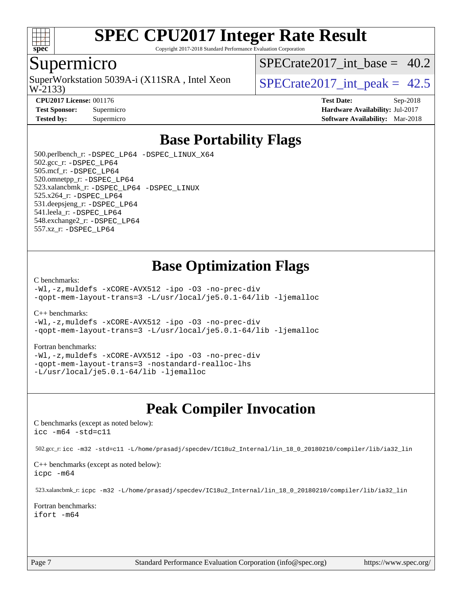

Copyright 2017-2018 Standard Performance Evaluation Corporation

#### Supermicro

W-2133) SuperWorkstation 5039A-i (X11SRA, Intel Xeon  $\vert$  SPECrate2017 int peak = 42.5

SPECrate2017 int\_base =  $40.2$ 

**[CPU2017 License:](http://www.spec.org/auto/cpu2017/Docs/result-fields.html#CPU2017License)** 001176 **[Test Date:](http://www.spec.org/auto/cpu2017/Docs/result-fields.html#TestDate)** Sep-2018 **[Test Sponsor:](http://www.spec.org/auto/cpu2017/Docs/result-fields.html#TestSponsor)** Supermicro **[Hardware Availability:](http://www.spec.org/auto/cpu2017/Docs/result-fields.html#HardwareAvailability)** Jul-2017 **[Tested by:](http://www.spec.org/auto/cpu2017/Docs/result-fields.html#Testedby)** Supermicro **[Software Availability:](http://www.spec.org/auto/cpu2017/Docs/result-fields.html#SoftwareAvailability)** Mar-2018

## **[Base Portability Flags](http://www.spec.org/auto/cpu2017/Docs/result-fields.html#BasePortabilityFlags)**

 500.perlbench\_r: [-DSPEC\\_LP64](http://www.spec.org/cpu2017/results/res2018q4/cpu2017-20181002-09057.flags.html#b500.perlbench_r_basePORTABILITY_DSPEC_LP64) [-DSPEC\\_LINUX\\_X64](http://www.spec.org/cpu2017/results/res2018q4/cpu2017-20181002-09057.flags.html#b500.perlbench_r_baseCPORTABILITY_DSPEC_LINUX_X64) 502.gcc\_r: [-DSPEC\\_LP64](http://www.spec.org/cpu2017/results/res2018q4/cpu2017-20181002-09057.flags.html#suite_basePORTABILITY502_gcc_r_DSPEC_LP64) 505.mcf\_r: [-DSPEC\\_LP64](http://www.spec.org/cpu2017/results/res2018q4/cpu2017-20181002-09057.flags.html#suite_basePORTABILITY505_mcf_r_DSPEC_LP64) 520.omnetpp\_r: [-DSPEC\\_LP64](http://www.spec.org/cpu2017/results/res2018q4/cpu2017-20181002-09057.flags.html#suite_basePORTABILITY520_omnetpp_r_DSPEC_LP64) 523.xalancbmk\_r: [-DSPEC\\_LP64](http://www.spec.org/cpu2017/results/res2018q4/cpu2017-20181002-09057.flags.html#suite_basePORTABILITY523_xalancbmk_r_DSPEC_LP64) [-DSPEC\\_LINUX](http://www.spec.org/cpu2017/results/res2018q4/cpu2017-20181002-09057.flags.html#b523.xalancbmk_r_baseCXXPORTABILITY_DSPEC_LINUX) 525.x264\_r: [-DSPEC\\_LP64](http://www.spec.org/cpu2017/results/res2018q4/cpu2017-20181002-09057.flags.html#suite_basePORTABILITY525_x264_r_DSPEC_LP64) 531.deepsjeng\_r: [-DSPEC\\_LP64](http://www.spec.org/cpu2017/results/res2018q4/cpu2017-20181002-09057.flags.html#suite_basePORTABILITY531_deepsjeng_r_DSPEC_LP64) 541.leela\_r: [-DSPEC\\_LP64](http://www.spec.org/cpu2017/results/res2018q4/cpu2017-20181002-09057.flags.html#suite_basePORTABILITY541_leela_r_DSPEC_LP64) 548.exchange2\_r: [-DSPEC\\_LP64](http://www.spec.org/cpu2017/results/res2018q4/cpu2017-20181002-09057.flags.html#suite_basePORTABILITY548_exchange2_r_DSPEC_LP64) 557.xz\_r: [-DSPEC\\_LP64](http://www.spec.org/cpu2017/results/res2018q4/cpu2017-20181002-09057.flags.html#suite_basePORTABILITY557_xz_r_DSPEC_LP64)

## **[Base Optimization Flags](http://www.spec.org/auto/cpu2017/Docs/result-fields.html#BaseOptimizationFlags)**

#### [C benchmarks](http://www.spec.org/auto/cpu2017/Docs/result-fields.html#Cbenchmarks):

[-Wl,-z,muldefs](http://www.spec.org/cpu2017/results/res2018q4/cpu2017-20181002-09057.flags.html#user_CCbase_link_force_multiple1_b4cbdb97b34bdee9ceefcfe54f4c8ea74255f0b02a4b23e853cdb0e18eb4525ac79b5a88067c842dd0ee6996c24547a27a4b99331201badda8798ef8a743f577) [-xCORE-AVX512](http://www.spec.org/cpu2017/results/res2018q4/cpu2017-20181002-09057.flags.html#user_CCbase_f-xCORE-AVX512) [-ipo](http://www.spec.org/cpu2017/results/res2018q4/cpu2017-20181002-09057.flags.html#user_CCbase_f-ipo) [-O3](http://www.spec.org/cpu2017/results/res2018q4/cpu2017-20181002-09057.flags.html#user_CCbase_f-O3) [-no-prec-div](http://www.spec.org/cpu2017/results/res2018q4/cpu2017-20181002-09057.flags.html#user_CCbase_f-no-prec-div) [-qopt-mem-layout-trans=3](http://www.spec.org/cpu2017/results/res2018q4/cpu2017-20181002-09057.flags.html#user_CCbase_f-qopt-mem-layout-trans_de80db37974c74b1f0e20d883f0b675c88c3b01e9d123adea9b28688d64333345fb62bc4a798493513fdb68f60282f9a726aa07f478b2f7113531aecce732043) [-L/usr/local/je5.0.1-64/lib](http://www.spec.org/cpu2017/results/res2018q4/cpu2017-20181002-09057.flags.html#user_CCbase_jemalloc_link_path64_4b10a636b7bce113509b17f3bd0d6226c5fb2346b9178c2d0232c14f04ab830f976640479e5c33dc2bcbbdad86ecfb6634cbbd4418746f06f368b512fced5394) [-ljemalloc](http://www.spec.org/cpu2017/results/res2018q4/cpu2017-20181002-09057.flags.html#user_CCbase_jemalloc_link_lib_d1249b907c500fa1c0672f44f562e3d0f79738ae9e3c4a9c376d49f265a04b9c99b167ecedbf6711b3085be911c67ff61f150a17b3472be731631ba4d0471706)

[C++ benchmarks:](http://www.spec.org/auto/cpu2017/Docs/result-fields.html#CXXbenchmarks)

[-Wl,-z,muldefs](http://www.spec.org/cpu2017/results/res2018q4/cpu2017-20181002-09057.flags.html#user_CXXbase_link_force_multiple1_b4cbdb97b34bdee9ceefcfe54f4c8ea74255f0b02a4b23e853cdb0e18eb4525ac79b5a88067c842dd0ee6996c24547a27a4b99331201badda8798ef8a743f577) [-xCORE-AVX512](http://www.spec.org/cpu2017/results/res2018q4/cpu2017-20181002-09057.flags.html#user_CXXbase_f-xCORE-AVX512) [-ipo](http://www.spec.org/cpu2017/results/res2018q4/cpu2017-20181002-09057.flags.html#user_CXXbase_f-ipo) [-O3](http://www.spec.org/cpu2017/results/res2018q4/cpu2017-20181002-09057.flags.html#user_CXXbase_f-O3) [-no-prec-div](http://www.spec.org/cpu2017/results/res2018q4/cpu2017-20181002-09057.flags.html#user_CXXbase_f-no-prec-div) [-qopt-mem-layout-trans=3](http://www.spec.org/cpu2017/results/res2018q4/cpu2017-20181002-09057.flags.html#user_CXXbase_f-qopt-mem-layout-trans_de80db37974c74b1f0e20d883f0b675c88c3b01e9d123adea9b28688d64333345fb62bc4a798493513fdb68f60282f9a726aa07f478b2f7113531aecce732043) [-L/usr/local/je5.0.1-64/lib](http://www.spec.org/cpu2017/results/res2018q4/cpu2017-20181002-09057.flags.html#user_CXXbase_jemalloc_link_path64_4b10a636b7bce113509b17f3bd0d6226c5fb2346b9178c2d0232c14f04ab830f976640479e5c33dc2bcbbdad86ecfb6634cbbd4418746f06f368b512fced5394) [-ljemalloc](http://www.spec.org/cpu2017/results/res2018q4/cpu2017-20181002-09057.flags.html#user_CXXbase_jemalloc_link_lib_d1249b907c500fa1c0672f44f562e3d0f79738ae9e3c4a9c376d49f265a04b9c99b167ecedbf6711b3085be911c67ff61f150a17b3472be731631ba4d0471706)

#### [Fortran benchmarks](http://www.spec.org/auto/cpu2017/Docs/result-fields.html#Fortranbenchmarks):

[-Wl,-z,muldefs](http://www.spec.org/cpu2017/results/res2018q4/cpu2017-20181002-09057.flags.html#user_FCbase_link_force_multiple1_b4cbdb97b34bdee9ceefcfe54f4c8ea74255f0b02a4b23e853cdb0e18eb4525ac79b5a88067c842dd0ee6996c24547a27a4b99331201badda8798ef8a743f577) [-xCORE-AVX512](http://www.spec.org/cpu2017/results/res2018q4/cpu2017-20181002-09057.flags.html#user_FCbase_f-xCORE-AVX512) [-ipo](http://www.spec.org/cpu2017/results/res2018q4/cpu2017-20181002-09057.flags.html#user_FCbase_f-ipo) [-O3](http://www.spec.org/cpu2017/results/res2018q4/cpu2017-20181002-09057.flags.html#user_FCbase_f-O3) [-no-prec-div](http://www.spec.org/cpu2017/results/res2018q4/cpu2017-20181002-09057.flags.html#user_FCbase_f-no-prec-div) [-qopt-mem-layout-trans=3](http://www.spec.org/cpu2017/results/res2018q4/cpu2017-20181002-09057.flags.html#user_FCbase_f-qopt-mem-layout-trans_de80db37974c74b1f0e20d883f0b675c88c3b01e9d123adea9b28688d64333345fb62bc4a798493513fdb68f60282f9a726aa07f478b2f7113531aecce732043) [-nostandard-realloc-lhs](http://www.spec.org/cpu2017/results/res2018q4/cpu2017-20181002-09057.flags.html#user_FCbase_f_2003_std_realloc_82b4557e90729c0f113870c07e44d33d6f5a304b4f63d4c15d2d0f1fab99f5daaed73bdb9275d9ae411527f28b936061aa8b9c8f2d63842963b95c9dd6426b8a) [-L/usr/local/je5.0.1-64/lib](http://www.spec.org/cpu2017/results/res2018q4/cpu2017-20181002-09057.flags.html#user_FCbase_jemalloc_link_path64_4b10a636b7bce113509b17f3bd0d6226c5fb2346b9178c2d0232c14f04ab830f976640479e5c33dc2bcbbdad86ecfb6634cbbd4418746f06f368b512fced5394) [-ljemalloc](http://www.spec.org/cpu2017/results/res2018q4/cpu2017-20181002-09057.flags.html#user_FCbase_jemalloc_link_lib_d1249b907c500fa1c0672f44f562e3d0f79738ae9e3c4a9c376d49f265a04b9c99b167ecedbf6711b3085be911c67ff61f150a17b3472be731631ba4d0471706)

## **[Peak Compiler Invocation](http://www.spec.org/auto/cpu2017/Docs/result-fields.html#PeakCompilerInvocation)**

[C benchmarks \(except as noted below\)](http://www.spec.org/auto/cpu2017/Docs/result-fields.html#Cbenchmarksexceptasnotedbelow): [icc -m64 -std=c11](http://www.spec.org/cpu2017/results/res2018q4/cpu2017-20181002-09057.flags.html#user_CCpeak_intel_icc_64bit_c11_33ee0cdaae7deeeab2a9725423ba97205ce30f63b9926c2519791662299b76a0318f32ddfffdc46587804de3178b4f9328c46fa7c2b0cd779d7a61945c91cd35)

502.gcc\_r: [icc -m32 -std=c11 -L/home/prasadj/specdev/IC18u2\\_Internal/lin\\_18\\_0\\_20180210/compiler/lib/ia32\\_lin](http://www.spec.org/cpu2017/results/res2018q4/cpu2017-20181002-09057.flags.html#user_peakCCLD502_gcc_r_intel_icc_a481ac844e7127046fad14d498c730a1848fa901fbbb2c3dfdd5e9fbbac777c8009953946d55d8b6afe8ed0da70dd2b4f8dedbdf7ab1ee211ba70d24a5d89f85)

[C++ benchmarks \(except as noted below\):](http://www.spec.org/auto/cpu2017/Docs/result-fields.html#CXXbenchmarksexceptasnotedbelow) [icpc -m64](http://www.spec.org/cpu2017/results/res2018q4/cpu2017-20181002-09057.flags.html#user_CXXpeak_intel_icpc_64bit_4ecb2543ae3f1412ef961e0650ca070fec7b7afdcd6ed48761b84423119d1bf6bdf5cad15b44d48e7256388bc77273b966e5eb805aefd121eb22e9299b2ec9d9)

523.xalancbmk\_r: [icpc -m32 -L/home/prasadj/specdev/IC18u2\\_Internal/lin\\_18\\_0\\_20180210/compiler/lib/ia32\\_lin](http://www.spec.org/cpu2017/results/res2018q4/cpu2017-20181002-09057.flags.html#user_peakCXXLD523_xalancbmk_r_intel_icpc_c6d030cd79af6ea7d6fb64c57e8fe7ae8fe0b96fc5a3b3f4a10e3273b3d7fa9decd8263f6330cef23f751cb093a69fae84a2bf4c243500a8eed069248128076f)

[Fortran benchmarks](http://www.spec.org/auto/cpu2017/Docs/result-fields.html#Fortranbenchmarks): [ifort -m64](http://www.spec.org/cpu2017/results/res2018q4/cpu2017-20181002-09057.flags.html#user_FCpeak_intel_ifort_64bit_24f2bb282fbaeffd6157abe4f878425411749daecae9a33200eee2bee2fe76f3b89351d69a8130dd5949958ce389cf37ff59a95e7a40d588e8d3a57e0c3fd751)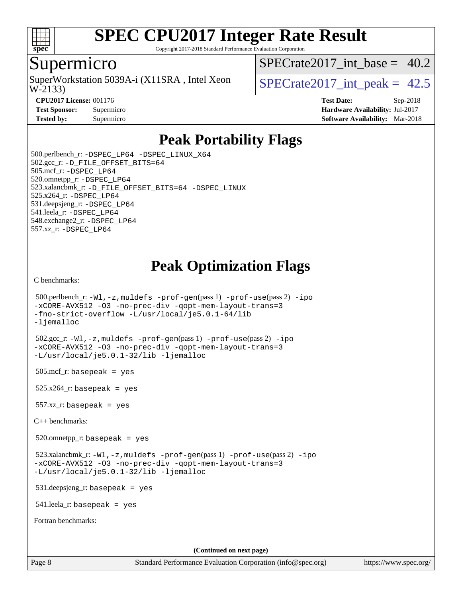

Copyright 2017-2018 Standard Performance Evaluation Corporation

### Supermicro

W-2133) SuperWorkstation 5039A-i (X11SRA, Intel Xeon  $\vert$  SPECrate2017 int peak = 42.5

SPECrate2017 int\_base =  $40.2$ 

**[CPU2017 License:](http://www.spec.org/auto/cpu2017/Docs/result-fields.html#CPU2017License)** 001176 **[Test Date:](http://www.spec.org/auto/cpu2017/Docs/result-fields.html#TestDate)** Sep-2018 **[Test Sponsor:](http://www.spec.org/auto/cpu2017/Docs/result-fields.html#TestSponsor)** Supermicro **[Hardware Availability:](http://www.spec.org/auto/cpu2017/Docs/result-fields.html#HardwareAvailability)** Jul-2017 **[Tested by:](http://www.spec.org/auto/cpu2017/Docs/result-fields.html#Testedby)** Supermicro **Supermicro [Software Availability:](http://www.spec.org/auto/cpu2017/Docs/result-fields.html#SoftwareAvailability)** Mar-2018

## **[Peak Portability Flags](http://www.spec.org/auto/cpu2017/Docs/result-fields.html#PeakPortabilityFlags)**

 500.perlbench\_r: [-DSPEC\\_LP64](http://www.spec.org/cpu2017/results/res2018q4/cpu2017-20181002-09057.flags.html#b500.perlbench_r_peakPORTABILITY_DSPEC_LP64) [-DSPEC\\_LINUX\\_X64](http://www.spec.org/cpu2017/results/res2018q4/cpu2017-20181002-09057.flags.html#b500.perlbench_r_peakCPORTABILITY_DSPEC_LINUX_X64) 502.gcc\_r: [-D\\_FILE\\_OFFSET\\_BITS=64](http://www.spec.org/cpu2017/results/res2018q4/cpu2017-20181002-09057.flags.html#user_peakPORTABILITY502_gcc_r_file_offset_bits_64_5ae949a99b284ddf4e95728d47cb0843d81b2eb0e18bdfe74bbf0f61d0b064f4bda2f10ea5eb90e1dcab0e84dbc592acfc5018bc955c18609f94ddb8d550002c) 505.mcf\_r: [-DSPEC\\_LP64](http://www.spec.org/cpu2017/results/res2018q4/cpu2017-20181002-09057.flags.html#suite_peakPORTABILITY505_mcf_r_DSPEC_LP64) 520.omnetpp\_r: [-DSPEC\\_LP64](http://www.spec.org/cpu2017/results/res2018q4/cpu2017-20181002-09057.flags.html#suite_peakPORTABILITY520_omnetpp_r_DSPEC_LP64) 523.xalancbmk\_r: [-D\\_FILE\\_OFFSET\\_BITS=64](http://www.spec.org/cpu2017/results/res2018q4/cpu2017-20181002-09057.flags.html#user_peakPORTABILITY523_xalancbmk_r_file_offset_bits_64_5ae949a99b284ddf4e95728d47cb0843d81b2eb0e18bdfe74bbf0f61d0b064f4bda2f10ea5eb90e1dcab0e84dbc592acfc5018bc955c18609f94ddb8d550002c) [-DSPEC\\_LINUX](http://www.spec.org/cpu2017/results/res2018q4/cpu2017-20181002-09057.flags.html#b523.xalancbmk_r_peakCXXPORTABILITY_DSPEC_LINUX) 525.x264\_r: [-DSPEC\\_LP64](http://www.spec.org/cpu2017/results/res2018q4/cpu2017-20181002-09057.flags.html#suite_peakPORTABILITY525_x264_r_DSPEC_LP64) 531.deepsjeng\_r: [-DSPEC\\_LP64](http://www.spec.org/cpu2017/results/res2018q4/cpu2017-20181002-09057.flags.html#suite_peakPORTABILITY531_deepsjeng_r_DSPEC_LP64) 541.leela\_r: [-DSPEC\\_LP64](http://www.spec.org/cpu2017/results/res2018q4/cpu2017-20181002-09057.flags.html#suite_peakPORTABILITY541_leela_r_DSPEC_LP64) 548.exchange2\_r: [-DSPEC\\_LP64](http://www.spec.org/cpu2017/results/res2018q4/cpu2017-20181002-09057.flags.html#suite_peakPORTABILITY548_exchange2_r_DSPEC_LP64) 557.xz\_r: [-DSPEC\\_LP64](http://www.spec.org/cpu2017/results/res2018q4/cpu2017-20181002-09057.flags.html#suite_peakPORTABILITY557_xz_r_DSPEC_LP64)

## **[Peak Optimization Flags](http://www.spec.org/auto/cpu2017/Docs/result-fields.html#PeakOptimizationFlags)**

[C benchmarks](http://www.spec.org/auto/cpu2017/Docs/result-fields.html#Cbenchmarks):

```
(info@spec.org)https://www.spec.org/
  500.perlbench_r: -Wl,-z,muldefs -prof-gen(pass 1) -prof-use(pass 2) -ipo
-xCORE-AVX512 -O3 -no-prec-div -qopt-mem-layout-trans=3
-fno-strict-overflow -L/usr/local/je5.0.1-64/lib
-ljemalloc
  502.gcc_r: -Wl,-z,muldefs -prof-gen(pass 1) -prof-use(pass 2) -ipo
-xCORE-AVX512 -O3 -no-prec-div -qopt-mem-layout-trans=3
-L/usr/local/je5.0.1-32/lib -ljemalloc
 505.\text{mcf}_r: basepeak = yes
 525.x264_r: basepeak = yes
 557.xz_r: basepeak = yes
C++ benchmarks: 
  520.omnetpp_r: basepeak = yes
  523.xalancbmk_r: -Wl,-z,muldefs -prof-gen(pass 1) -prof-use(pass 2) -ipo
-xCORE-AVX512 -O3 -no-prec-div -qopt-mem-layout-trans=3
-L/usr/local/je5.0.1-32/lib -ljemalloc
  531.deepsjeng_r: basepeak = yes
  541.leela_r: basepeak = yes
Fortran benchmarks: 
                                      (Continued on next page)
```